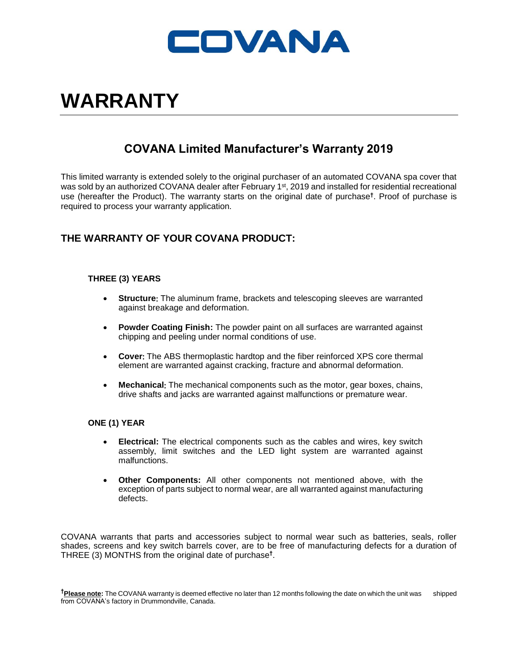

# **WARRANTY**

## **COVANA Limited Manufacturer's Warranty 2019**

This limited warranty is extended solely to the original purchaser of an automated COVANA spa cover that was sold by an authorized COVANA dealer after February 1<sup>st</sup>, 2019 and installed for residential recreational use (hereafter the Product). The warranty starts on the original date of purchase**†** . Proof of purchase is required to process your warranty application.

## **THE WARRANTY OF YOUR COVANA PRODUCT:**

## **THREE (3) YEARS**

- **Structure:** The aluminum frame, brackets and telescoping sleeves are warranted against breakage and deformation.
- **Powder Coating Finish:** The powder paint on all surfaces are warranted against chipping and peeling under normal conditions of use.
- Cover: The ABS thermoplastic hardtop and the fiber reinforced XPS core thermal element are warranted against cracking, fracture and abnormal deformation.
- **Mechanical:** The mechanical components such as the motor, gear boxes, chains, drive shafts and jacks are warranted against malfunctions or premature wear.

## **ONE (1) YEAR**

- **Electrical:** The electrical components such as the cables and wires, key switch assembly, limit switches and the LED light system are warranted against malfunctions.
- **Other Components:** All other components not mentioned above, with the exception of parts subject to normal wear, are all warranted against manufacturing defects.

COVANA warrants that parts and accessories subject to normal wear such as batteries, seals, roller shades, screens and key switch barrels cover, are to be free of manufacturing defects for a duration of THREE (3) MONTHS from the original date of purchase**†** .

**†Please note:** The COVANA warranty is deemed effective no later than 12 months following the date on which the unit was shipped from COVANA's factory in Drummondville, Canada.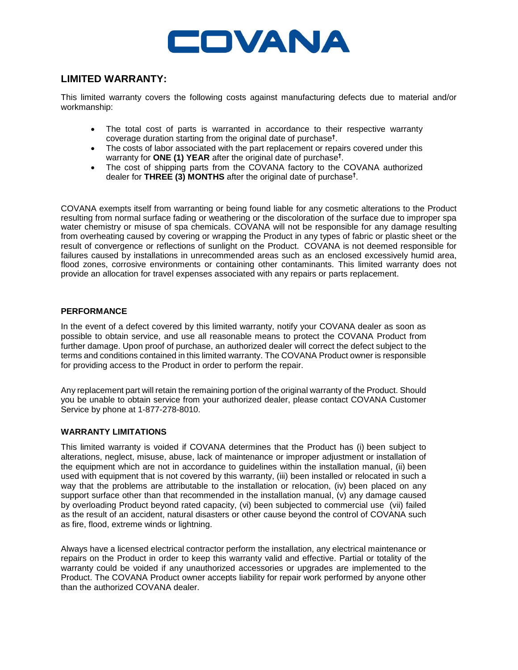

## **LIMITED WARRANTY:**

This limited warranty covers the following costs against manufacturing defects due to material and/or workmanship:

- The total cost of parts is warranted in accordance to their respective warranty coverage duration starting from the original date of purchase**†** .
- The costs of labor associated with the part replacement or repairs covered under this warranty for **ONE (1) YEAR** after the original date of purchase**†** .
- The cost of shipping parts from the COVANA factory to the COVANA authorized dealer for **THREE (3) MONTHS** after the original date of purchase**†** .

COVANA exempts itself from warranting or being found liable for any cosmetic alterations to the Product resulting from normal surface fading or weathering or the discoloration of the surface due to improper spa water chemistry or misuse of spa chemicals. COVANA will not be responsible for any damage resulting from overheating caused by covering or wrapping the Product in any types of fabric or plastic sheet or the result of convergence or reflections of sunlight on the Product. COVANA is not deemed responsible for failures caused by installations in unrecommended areas such as an enclosed excessively humid area, flood zones, corrosive environments or containing other contaminants. This limited warranty does not provide an allocation for travel expenses associated with any repairs or parts replacement.

## **PERFORMANCE**

In the event of a defect covered by this limited warranty, notify your COVANA dealer as soon as possible to obtain service, and use all reasonable means to protect the COVANA Product from further damage. Upon proof of purchase, an authorized dealer will correct the defect subject to the terms and conditions contained in this limited warranty. The COVANA Product owner is responsible for providing access to the Product in order to perform the repair.

Any replacement part will retain the remaining portion of the original warranty of the Product. Should you be unable to obtain service from your authorized dealer, please contact COVANA Customer Service by phone at 1-877-278-8010.

## **WARRANTY LIMITATIONS**

This limited warranty is voided if COVANA determines that the Product has (i) been subject to alterations, neglect, misuse, abuse, lack of maintenance or improper adjustment or installation of the equipment which are not in accordance to guidelines within the installation manual, (ii) been used with equipment that is not covered by this warranty, (iii) been installed or relocated in such a way that the problems are attributable to the installation or relocation, (iv) been placed on any support surface other than that recommended in the installation manual, (v) any damage caused by overloading Product beyond rated capacity, (vi) been subjected to commercial use (vii) failed as the result of an accident, natural disasters or other cause beyond the control of COVANA such as fire, flood, extreme winds or lightning.

Always have a licensed electrical contractor perform the installation, any electrical maintenance or repairs on the Product in order to keep this warranty valid and effective. Partial or totality of the warranty could be voided if any unauthorized accessories or upgrades are implemented to the Product. The COVANA Product owner accepts liability for repair work performed by anyone other than the authorized COVANA dealer.